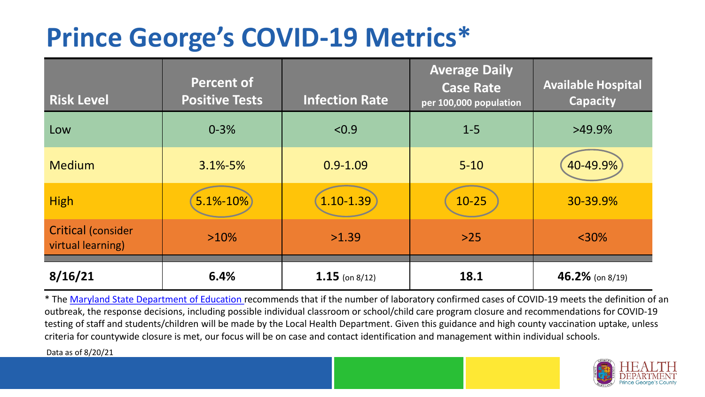## **Prince George's COVID-19 Metrics\***

| <b>Risk Level</b>                              | <b>Percent of</b><br><b>Positive Tests</b> | <b>Infection Rate</b> | <b>Average Daily</b><br><b>Case Rate</b><br>per 100,000 population | <b>Available Hospital</b><br><b>Capacity</b> |
|------------------------------------------------|--------------------------------------------|-----------------------|--------------------------------------------------------------------|----------------------------------------------|
| Low                                            | $0 - 3%$                                   | < 0.9                 | $1 - 5$                                                            | $>49.9\%$                                    |
| <b>Medium</b>                                  | $3.1\% - 5\%$                              | $0.9 - 1.09$          | $5 - 10$                                                           | 40-49.9%                                     |
| <b>High</b>                                    | $5.1\% - 10\%$                             | $1.10 - 1.39$         | $10 - 25$                                                          | 30-39.9%                                     |
| <b>Critical (consider</b><br>virtual learning) | $>10\%$                                    | >1.39                 | $>25$                                                              | $<$ 30%                                      |
| 8/16/21                                        | 6.4%                                       | $1.15$ (on 8/12)      | 18.1                                                               | 46.2% (on $8/19$ )                           |

\* The [Maryland State Department of Education r](https://earlychildhood.marylandpublicschools.org/system/files/filedepot/3/covid_guidance_full_080420.pdf)ecommends that if the number of laboratory confirmed cases of COVID-19 meets the definition of an outbreak, the response decisions, including possible individual classroom or school/child care program closure and recommendations for COVID-19 testing of staff and students/children will be made by the Local Health Department. Given this guidance and high county vaccination uptake, unless criteria for countywide closure is met, our focus will be on case and contact identification and management within individual schools.

Data as of 8/20/21

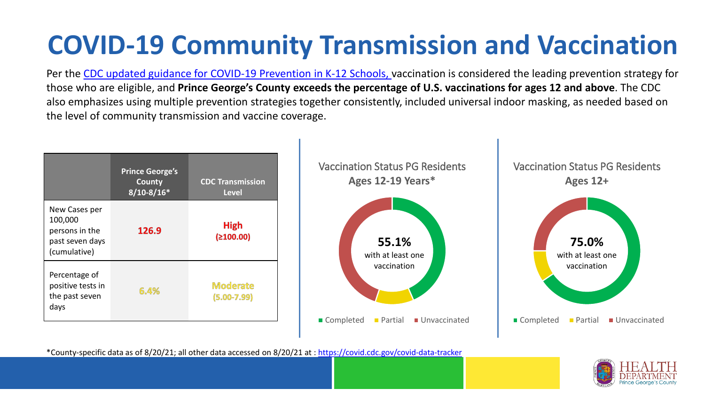# **COVID-19 Community Transmission and Vaccination**

Per the [CDC updated guidance for COVID-19 Prevention in K-12 Schools,](https://www.cdc.gov/coronavirus/2019-ncov/community/schools-childcare/k-12-guidance.html) vaccination is considered the leading prevention strategy for those who are eligible, and **Prince George's County exceeds the percentage of U.S. vaccinations for ages 12 and above**. The CDC also emphasizes using multiple prevention strategies together consistently, included universal indoor masking, as needed based on the level of community transmission and vaccine coverage.



\*County-specific data as of 8/20/21; all other data accessed on 8/20/21 at :<https://covid.cdc.gov/covid-data-tracker>

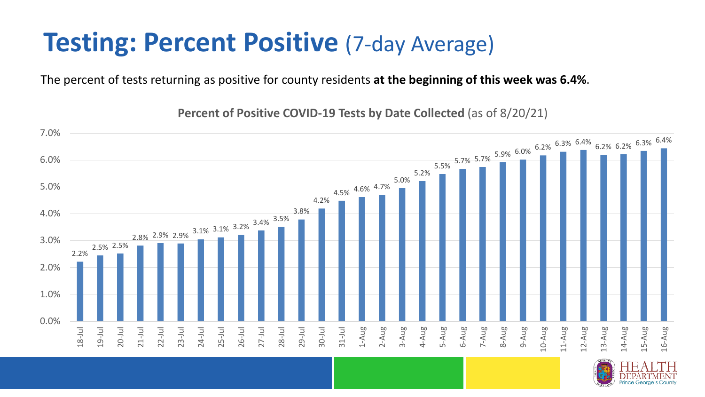#### **Testing: Percent Positive (7-day Average)**

The percent of tests returning as positive for county residents **at the beginning of this week was 6.4%**.

2.2% 2.5% 2.5% 2.8% 2.9% 2.9% 3.1% 3.1% 3.2% 3.4% 3.5% 3.8% 4.2% 4.5% 4.6% 4.7% 5.0% 5.2%  $5.5\%$  5.7% 5.7% 5.9% 6.0% 6.2% 6.3% 6.4% 6.2% 6.2% 6.3% 6.4% 0.0% 1.0% 2.0% 3.0% 4.0% 5.0% 6.0% 7.0% 18-Jul 19-Jul 20-Jul 21-Jul 22-Jul 23-Jul 24-Jul 25-Jul 26-Jul 27-Jul 28-Jul 29-Jul 30-Jul 31-Jul 1-Aug 2-Aug 3-Aug 4-Aug 5-Aug 6-Aug 7-Aug 8-Aug 9-Aug 10-Aug 11-Aug 12-Aug 13-Aug 14-Aug 15-Aug 16-Aug

**Percent of Positive COVID-19 Tests by Date Collected** (as of 8/20/21)

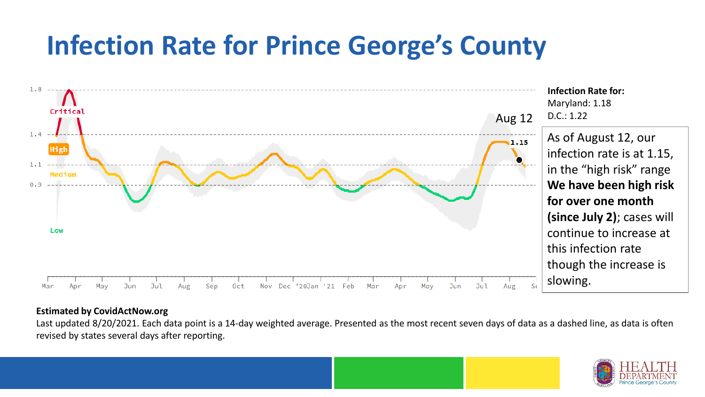## **Infection Rate for Prince George's County**



#### **Estimated by CovidActNow.org**

Last updated 8/20/2021. Each data point is a 14-day weighted average. Presented as the most recent seven days of data as a dashed line, as data is often revised by states several days after reporting.

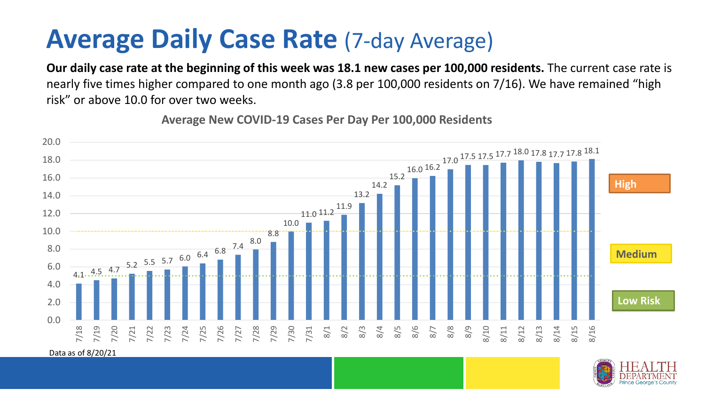### **Average Daily Case Rate** (7-day Average)

**Our daily case rate at the beginning of this week was 18.1 new cases per 100,000 residents.** The current case rate is nearly five times higher compared to one month ago (3.8 per 100,000 residents on 7/16). We have remained "high risk" or above 10.0 for over two weeks.



**Average New COVID-19 Cases Per Day Per 100,000 Residents**

Data as of 8/20/21